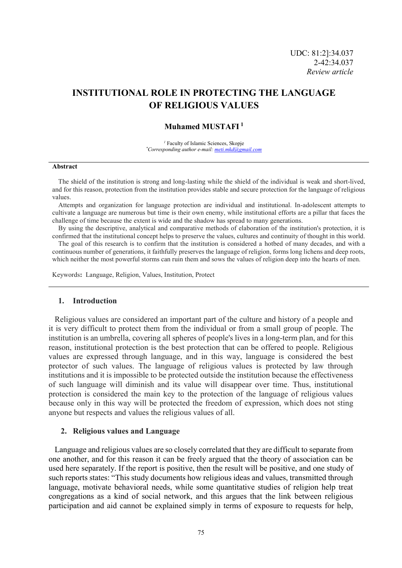# **INSTITUTIONAL ROLE IN PROTECTING THE LANGUAGE OF RELIGIOUS VALUES**

## **Muhamed MUSTAFI <sup>1</sup>**

*<sup>1</sup>* Faculty of Islamic Sciences, Skopje *\*Corresponding author e-mail: meti.mkd@gmail.com*

#### **Abstract**

The shield of the institution is strong and long-lasting while the shield of the individual is weak and short-lived, and for this reason, protection from the institution provides stable and secure protection for the language of religious values.

Attempts and organization for language protection are individual and institutional. In-adolescent attempts to cultivate a language are numerous but time is their own enemy, while institutional efforts are a pillar that faces the challenge of time because the extent is wide and the shadow has spread to many generations.

By using the descriptive, analytical and comparative methods of elaboration of the institution's protection, it is confirmed that the institutional concept helps to preserve the values, cultures and continuity of thought in this world.

The goal of this research is to confirm that the institution is considered a hotbed of many decades, and with a continuous number of generations, it faithfully preserves the language of religion, forms long lichens and deep roots, which neither the most powerful storms can ruin them and sows the values of religion deep into the hearts of men.

Keywords**:** Language, Religion, Values, Institution, Protect

#### **1. Introduction**

Religious values are considered an important part of the culture and history of a people and it is very difficult to protect them from the individual or from a small group of people. The institution is an umbrella, covering all spheres of people's lives in a long-term plan, and for this reason, institutional protection is the best protection that can be offered to people. Religious values are expressed through language, and in this way, language is considered the best protector of such values. The language of religious values is protected by law through institutions and it is impossible to be protected outside the institution because the effectiveness of such language will diminish and its value will disappear over time. Thus, institutional protection is considered the main key to the protection of the language of religious values because only in this way will be protected the freedom of expression, which does not sting anyone but respects and values the religious values of all.

## **2. Religious values and Language**

Language and religious values are so closely correlated that they are difficult to separate from one another, and for this reason it can be freely argued that the theory of association can be used here separately. If the report is positive, then the result will be positive, and one study of such reports states: "This study documents how religious ideas and values, transmitted through language, motivate behavioral needs, while some quantitative studies of religion help treat congregations as a kind of social network, and this argues that the link between religious participation and aid cannot be explained simply in terms of exposure to requests for help,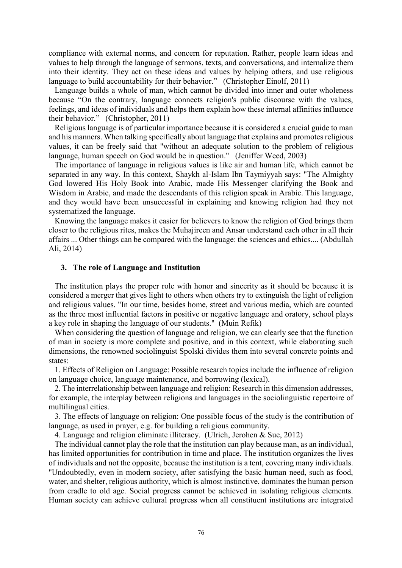compliance with external norms, and concern for reputation. Rather, people learn ideas and values to help through the language of sermons, texts, and conversations, and internalize them into their identity. They act on these ideas and values by helping others, and use religious language to build accountability for their behavior." (Christopher Einolf, 2011)

Language builds a whole of man, which cannot be divided into inner and outer wholeness because "On the contrary, language connects religion's public discourse with the values, feelings, and ideas of individuals and helps them explain how these internal affinities influence their behavior." (Christopher, 2011)

Religious language is of particular importance because it is considered a crucial guide to man and his manners. When talking specifically about language that explains and promotes religious values, it can be freely said that "without an adequate solution to the problem of religious language, human speech on God would be in question." (Jeniffer Weed, 2003)

The importance of language in religious values is like air and human life, which cannot be separated in any way. In this context, Shaykh al-Islam Ibn Taymiyyah says: "The Almighty God lowered His Holy Book into Arabic, made His Messenger clarifying the Book and Wisdom in Arabic, and made the descendants of this religion speak in Arabic. This language, and they would have been unsuccessful in explaining and knowing religion had they not systematized the language.

Knowing the language makes it easier for believers to know the religion of God brings them closer to the religious rites, makes the Muhajireen and Ansar understand each other in all their affairs ... Other things can be compared with the language: the sciences and ethics.... (Abdullah Ali, 2014)

# **3. The role of Language and Institution**

The institution plays the proper role with honor and sincerity as it should be because it is considered a merger that gives light to others when others try to extinguish the light of religion and religious values. "In our time, besides home, street and various media, which are counted as the three most influential factors in positive or negative language and oratory, school plays a key role in shaping the language of our students." (Muin Refik)

When considering the question of language and religion, we can clearly see that the function of man in society is more complete and positive, and in this context, while elaborating such dimensions, the renowned sociolinguist Spolski divides them into several concrete points and states:

1. Effects of Religion on Language: Possible research topics include the influence of religion on language choice, language maintenance, and borrowing (lexical).

2. The interrelationship between language and religion: Research in this dimension addresses, for example, the interplay between religions and languages in the sociolinguistic repertoire of multilingual cities.

3. The effects of language on religion: One possible focus of the study is the contribution of language, as used in prayer, e.g. for building a religious community.

4. Language and religion eliminate illiteracy. (Ulrich, Jerohen & Sue, 2012)

The individual cannot play the role that the institution can play because man, as an individual, has limited opportunities for contribution in time and place. The institution organizes the lives of individuals and not the opposite, because the institution is a tent, covering many individuals. "Undoubtedly, even in modern society, after satisfying the basic human need, such as food, water, and shelter, religious authority, which is almost instinctive, dominates the human person from cradle to old age. Social progress cannot be achieved in isolating religious elements. Human society can achieve cultural progress when all constituent institutions are integrated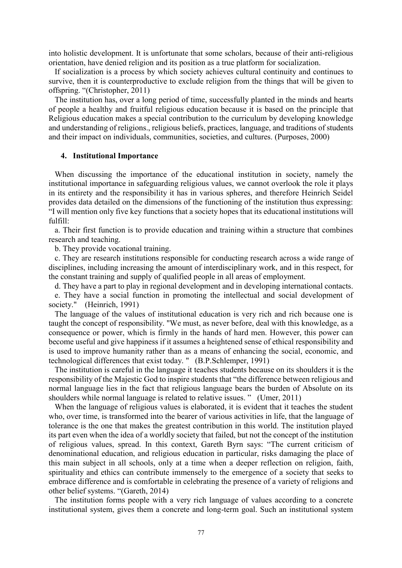into holistic development. It is unfortunate that some scholars, because of their anti-religious orientation, have denied religion and its position as a true platform for socialization.

If socialization is a process by which society achieves cultural continuity and continues to survive, then it is counterproductive to exclude religion from the things that will be given to offspring. "(Christopher, 2011)

The institution has, over a long period of time, successfully planted in the minds and hearts of people a healthy and fruitful religious education because it is based on the principle that Religious education makes a special contribution to the curriculum by developing knowledge and understanding of religions., religious beliefs, practices, language, and traditions of students and their impact on individuals, communities, societies, and cultures. (Purposes, 2000)

# **4. Institutional Importance**

When discussing the importance of the educational institution in society, namely the institutional importance in safeguarding religious values, we cannot overlook the role it plays in its entirety and the responsibility it has in various spheres, and therefore Heinrich Seidel provides data detailed on the dimensions of the functioning of the institution thus expressing: "I will mention only five key functions that a society hopes that its educational institutions will fulfill:

a. Their first function is to provide education and training within a structure that combines research and teaching.

b. They provide vocational training.

c. They are research institutions responsible for conducting research across a wide range of disciplines, including increasing the amount of interdisciplinary work, and in this respect, for the constant training and supply of qualified people in all areas of employment.

d. They have a part to play in regional development and in developing international contacts.

e. They have a social function in promoting the intellectual and social development of society." (Heinrich, 1991)

The language of the values of institutional education is very rich and rich because one is taught the concept of responsibility. "We must, as never before, deal with this knowledge, as a consequence or power, which is firmly in the hands of hard men. However, this power can become useful and give happiness if it assumes a heightened sense of ethical responsibility and is used to improve humanity rather than as a means of enhancing the social, economic, and technological differences that exist today. " (B.P.Schlemper, 1991)

The institution is careful in the language it teaches students because on its shoulders it is the responsibility of the Majestic God to inspire students that "the difference between religious and normal language lies in the fact that religious language bears the burden of Absolute on its shoulders while normal language is related to relative issues. " (Umer, 2011)

When the language of religious values is elaborated, it is evident that it teaches the student who, over time, is transformed into the bearer of various activities in life, that the language of tolerance is the one that makes the greatest contribution in this world. The institution played its part even when the idea of a worldly society that failed, but not the concept of the institution of religious values, spread. In this context, Gareth Byrn says: "The current criticism of denominational education, and religious education in particular, risks damaging the place of this main subject in all schools, only at a time when a deeper reflection on religion, faith, spirituality and ethics can contribute immensely to the emergence of a society that seeks to embrace difference and is comfortable in celebrating the presence of a variety of religions and other belief systems. "(Gareth, 2014)

The institution forms people with a very rich language of values according to a concrete institutional system, gives them a concrete and long-term goal. Such an institutional system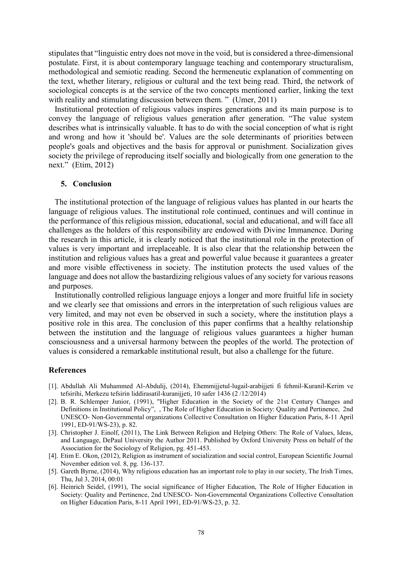stipulates that "linguistic entry does not move in the void, but is considered a three-dimensional postulate. First, it is about contemporary language teaching and contemporary structuralism, methodological and semiotic reading. Second the hermeneutic explanation of commenting on the text, whether literary, religious or cultural and the text being read. Third, the network of sociological concepts is at the service of the two concepts mentioned earlier, linking the text with reality and stimulating discussion between them." (Umer, 2011)

Institutional protection of religious values inspires generations and its main purpose is to convey the language of religious values generation after generation. "The value system describes what is intrinsically valuable. It has to do with the social conception of what is right and wrong and how it 'should be'. Values are the sole determinants of priorities between people's goals and objectives and the basis for approval or punishment. Socialization gives society the privilege of reproducing itself socially and biologically from one generation to the next." (Etim, 2012)

# **5. Conclusion**

The institutional protection of the language of religious values has planted in our hearts the language of religious values. The institutional role continued, continues and will continue in the performance of this religious mission, educational, social and educational, and will face all challenges as the holders of this responsibility are endowed with Divine Immanence. During the research in this article, it is clearly noticed that the institutional role in the protection of values is very important and irreplaceable. It is also clear that the relationship between the institution and religious values has a great and powerful value because it guarantees a greater and more visible effectiveness in society. The institution protects the used values of the language and does not allow the bastardizing religious values of any society for various reasons and purposes.

Institutionally controlled religious language enjoys a longer and more fruitful life in society and we clearly see that omissions and errors in the interpretation of such religious values are very limited, and may not even be observed in such a society, where the institution plays a positive role in this area. The conclusion of this paper confirms that a healthy relationship between the institution and the language of religious values guarantees a higher human consciousness and a universal harmony between the peoples of the world. The protection of values is considered a remarkable institutional result, but also a challenge for the future.

#### **References**

- [1]. Abdullah Ali Muhammed Al-Abdulij, (2014), Ehemmijjetul-lugail-arabijjeti fi fehmil-Kuranil-Kerim ve tefsirihi, Merkezu tefsirin liddirasatil-kuranijjeti, 10 safer 1436 (2 /12/2014)
- [2]. B. R. Schlemper Junior, (1991), "Higher Education in the Society of the 21st Century Changes and Definitions in Institutional Policy", , The Role of Higher Education in Society: Quality and Pertinence, 2nd UNESCO- Non-Governmental organizations Collective Consultation on Higher Education Paris, 8-11 April 1991, ED-91/WS-23), p. 82.
- [3]. Christopher J. Einolf, (2011), The Link Between Religion and Helping Others: The Role of Values, Ideas, and Language, DePaul University the Author 2011. Published by Oxford University Press on behalf of the Association for the Sociology of Religion, pg. 451-453.
- [4]. Etim E. Okon, (2012), Religion as instrument of socialization and social control, European Scientific Journal November edition vol. 8, pg. 136-137.
- [5]. Gareth Byrne, (2014), Why religious education has an important role to play in our society, The Irish Times, Thu, Jul 3, 2014, 00:01
- [6]. Heinrich Seidel, (1991), The social significance of Higher Education, The Role of Higher Education in Society: Quality and Pertinence, 2nd UNESCO- Non-Governmental Organizations Collective Consultation on Higher Education Paris, 8-11 April 1991, ED-91/WS-23, p. 32.